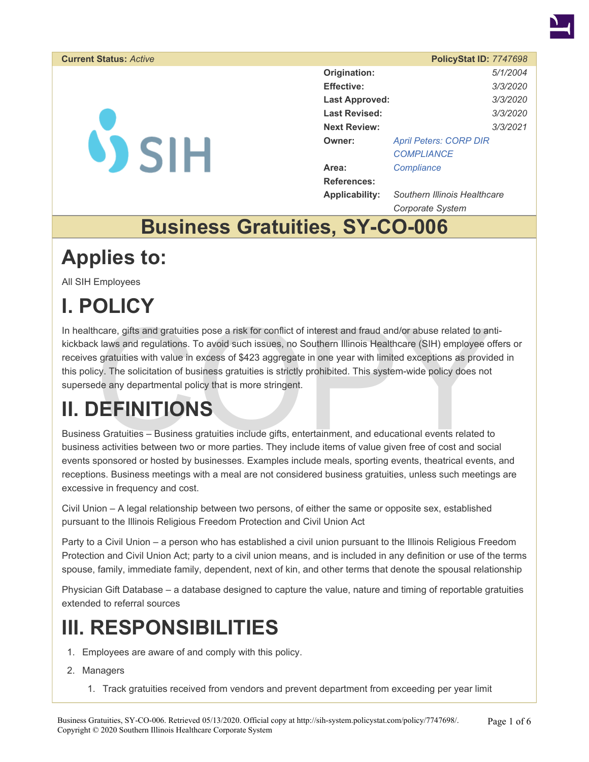

#### **Current Status: Active**

**VSIH** 

|                       | PolicyStat ID: 7747698        |          |
|-----------------------|-------------------------------|----------|
| Origination:          |                               | 5/1/2004 |
| Effective:            |                               | 3/3/2020 |
| <b>Last Approved:</b> |                               | 3/3/2020 |
| Last Revised:         |                               | 3/3/2020 |
| <b>Next Review:</b>   |                               | 3/3/2021 |
| Owner:                | <b>April Peters: CORP DIR</b> |          |
|                       | COMPLIANCE                    |          |
| Area:                 | Compliance                    |          |
| References:           |                               |          |
| Applicability:        | Southern Illinois Healthcare  |          |

*Corporate System*  **Business Gratuities, SY-CO-006** 

### **Applies to:**

All SIH Employees

# **I. POLICY**

ncare, gifts and gratuities pose a risk for conflict of interest and fraud and/or abuse related to and k laws and regulations. To avoid such issues, no Southern Illinois Healthcare (SIH) employee of gratuities with value i In healthcare, gifts and gratuities pose a risk for conflict of interest and fraud and/or abuse related to antikickback laws and regulations. To avoid such issues, no Southern Illinois Healthcare (SIH) employee offers or receives gratuities with value in excess of \$423 aggregate in one year with limited exceptions as provided in this policy. The solicitation of business gratuities is strictly prohibited. This system-wide policy does not supersede any departmental policy that is more stringent.

## **II. DEFINITIONS**

Business Gratuities – Business gratuities include gifts, entertainment, and educational events related to business activities between two or more parties. They include items of value given free of cost and social events sponsored or hosted by businesses. Examples include meals, sporting events, theatrical events, and receptions. Business meetings with a meal are not considered business gratuities, unless such meetings are excessive in frequency and cost.

Civil Union – A legal relationship between two persons, of either the same or opposite sex, established pursuant to the Illinois Religious Freedom Protection and Civil Union Act

Party to a Civil Union – a person who has established a civil union pursuant to the Illinois Religious Freedom Protection and Civil Union Act; party to a civil union means, and is included in any definition or use of the terms spouse, family, immediate family, dependent, next of kin, and other terms that denote the spousal relationship

Physician Gift Database – a database designed to capture the value, nature and timing of reportable gratuities extended to referral sources

#### **III. RESPONSIBILITIES**

- 1. Employees are aware of and comply with this policy.
- 2. Managers
	- 1. Track gratuities received from vendors and prevent department from exceeding per year limit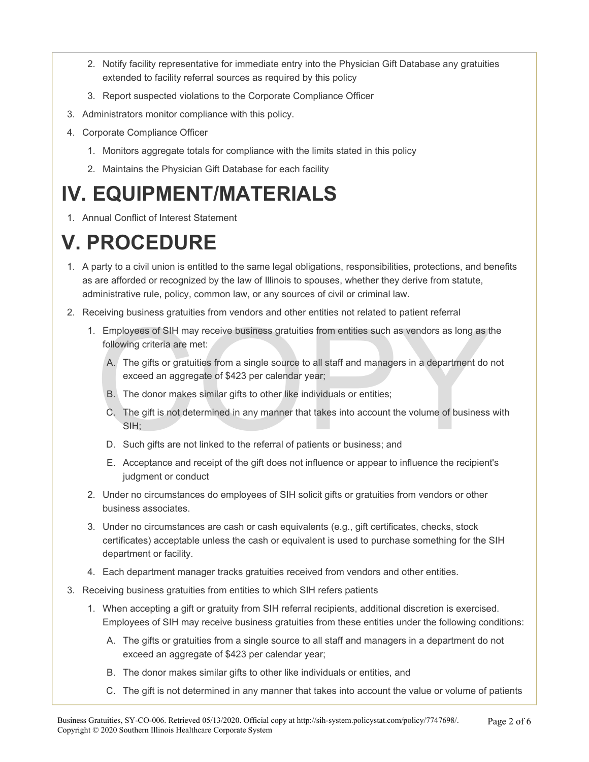- 2. Notify facility representative for immediate entry into the Physician Gift Database any gratuities extended to facility referral sources as required by this policy
- 3. Report suspected violations to the Corporate Compliance Officer
- 3. Administrators monitor compliance with this policy.
- 4. Corporate Compliance Officer
	- 1. Monitors aggregate totals for compliance with the limits stated in this policy
	- 2. Maintains the Physician Gift Database for each facility

### **IV. EQUIPMENT/MATERIALS**

1. Annual Conflict of Interest Statement

## **V. PROCEDURE**

- 1. A party to a civil union is entitled to the same legal obligations, responsibilities, protections, and benefits as are afforded or recognized by the law of Illinois to spouses, whether they derive from statute, administrative rule, policy, common law, or any sources of civil or criminal law.
- 2. Receiving business gratuities from vendors and other entities not related to patient referral
	- Employees of SIH may receive business gratuities from entities such as vendors as long as the following criteria are met:<br>
	A. The gifts or gratuities from a single source to all staff and managers in a department do rexcee 1. Employees of SIH may receive business gratuities from entities such as vendors as long as the following criteria are met:
		- A. The gifts or gratuities from a single source to all staff and managers in a department do not exceed an aggregate of \$423 per calendar year;
		- B. The donor makes similar gifts to other like individuals or entities;
		- C. The gift is not determined in any manner that takes into account the volume of business with SIH;
		- D. Such gifts are not linked to the referral of patients or business; and
		- E. Acceptance and receipt of the gift does not influence or appear to influence the recipient's judgment or conduct
	- 2. Under no circumstances do employees of SIH solicit gifts or gratuities from vendors or other business associates.
	- 3. Under no circumstances are cash or cash equivalents (e.g., gift certificates, checks, stock certificates) acceptable unless the cash or equivalent is used to purchase something for the SIH department or facility.
	- 4. Each department manager tracks gratuities received from vendors and other entities.
- 3. Receiving business gratuities from entities to which SIH refers patients
	- 1. When accepting a gift or gratuity from SIH referral recipients, additional discretion is exercised. Employees of SIH may receive business gratuities from these entities under the following conditions:
		- A. The gifts or gratuities from a single source to all staff and managers in a department do not exceed an aggregate of \$423 per calendar year;
		- B. The donor makes similar gifts to other like individuals or entities, and
		- C. The gift is not determined in any manner that takes into account the value or volume of patients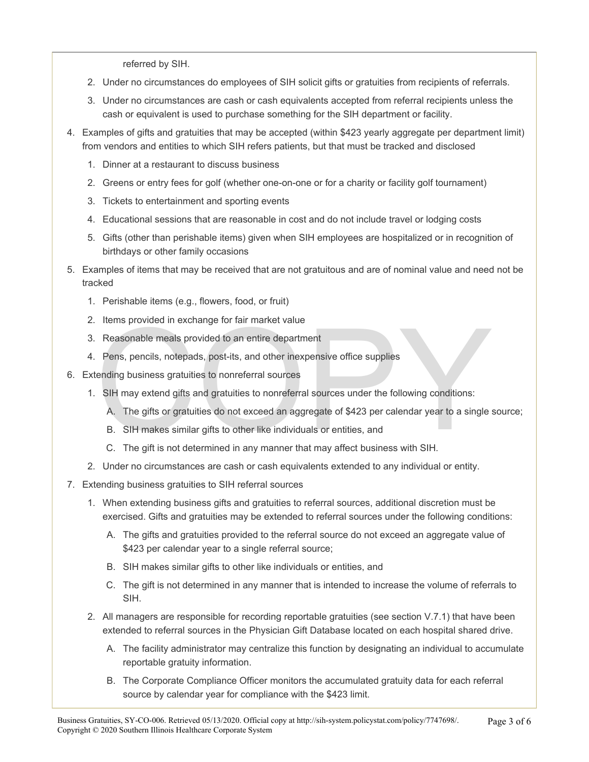referred by SIH.

- 2. Under no circumstances do employees of SIH solicit gifts or gratuities from recipients of referrals.
- 3. Under no circumstances are cash or cash equivalents accepted from referral recipients unless the cash or equivalent is used to purchase something for the SIH department or facility.
- 4. Examples of gifts and gratuities that may be accepted (within \$423 yearly aggregate per department limit) from vendors and entities to which SIH refers patients, but that must be tracked and disclosed
	- 1. Dinner at a restaurant to discuss business
	- 2. Greens or entry fees for golf (whether one-on-one or for a charity or facility golf tournament)
	- 3. Tickets to entertainment and sporting events
	- 4. Educational sessions that are reasonable in cost and do not include travel or lodging costs
	- 5. Gifts (other than perishable items) given when SIH employees are hospitalized or in recognition of birthdays or other family occasions
- 5. Examples of items that may be received that are not gratuitous and are of nominal value and need not be tracked
	- 1. Perishable items (e.g., flowers, food, or fruit)
	- 2. Items provided in exchange for fair market value
	- 3. Reasonable meals provided to an entire department
	- 4. Pens, pencils, notepads, post-its, and other inexpensive office supplies
- 6. Extending business gratuities to nonreferral sources
	- 1. SIH may extend gifts and gratuities to nonreferral sources under the following conditions:
- Items provided in exchange for fair market value<br>
Reasonable meals provided to an entire department<br>
Pens, pencils, notepads, post-its, and other inexpensive office supplies<br>
ending business gratuities to nonreferral sourc A. The gifts or gratuities do not exceed an aggregate of \$423 per calendar year to a single source;
	- B. SIH makes similar gifts to other like individuals or entities, and
	- C. The gift is not determined in any manner that may affect business with SIH.
	- 2. Under no circumstances are cash or cash equivalents extended to any individual or entity.
- 7. Extending business gratuities to SIH referral sources
	- 1. When extending business gifts and gratuities to referral sources, additional discretion must be exercised. Gifts and gratuities may be extended to referral sources under the following conditions:
		- A. The gifts and gratuities provided to the referral source do not exceed an aggregate value of \$423 per calendar year to a single referral source;
		- B. SIH makes similar gifts to other like individuals or entities, and
		- C. The gift is not determined in any manner that is intended to increase the volume of referrals to SIH.
	- 2. All managers are responsible for recording reportable gratuities (see section V.7.1) that have been extended to referral sources in the Physician Gift Database located on each hospital shared drive.
		- A. The facility administrator may centralize this function by designating an individual to accumulate reportable gratuity information.
		- B. The Corporate Compliance Officer monitors the accumulated gratuity data for each referral source by calendar year for compliance with the \$423 limit.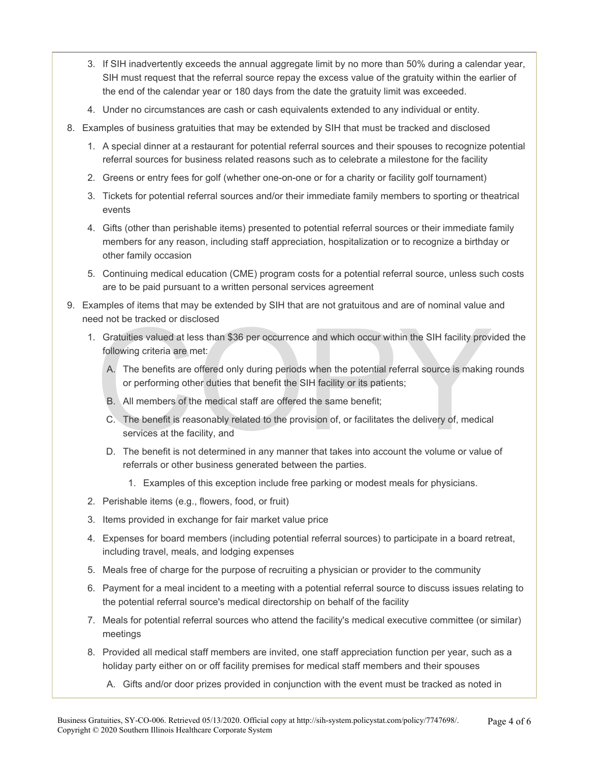- 3. If SIH inadvertently exceeds the annual aggregate limit by no more than 50% during a calendar year, SIH must request that the referral source repay the excess value of the gratuity within the earlier of the end of the calendar year or 180 days from the date the gratuity limit was exceeded.
- 4. Under no circumstances are cash or cash equivalents extended to any individual or entity.
- 8. Examples of business gratuities that may be extended by SIH that must be tracked and disclosed
	- 1. A special dinner at a restaurant for potential referral sources and their spouses to recognize potential referral sources for business related reasons such as to celebrate a milestone for the facility
	- 2. Greens or entry fees for golf (whether one-on-one or for a charity or facility golf tournament)
	- 3. Tickets for potential referral sources and/or their immediate family members to sporting or theatrical events
	- 4. Gifts (other than perishable items) presented to potential referral sources or their immediate family members for any reason, including staff appreciation, hospitalization or to recognize a birthday or other family occasion
	- 5. Continuing medical education (CME) program costs for a potential referral source, unless such costs are to be paid pursuant to a written personal services agreement
- 9. Examples of items that may be extended by SIH that are not gratuitous and are of nominal value and need not be tracked or disclosed
	- ed not be tracked or disclosed<br>
	Gratuities valued at less than \$36 per occurrence and which occur within the SIH facility provi<br>
	following criteria are met:<br>
	A. The benefits are offered only during periods when the potenti 1. Gratuities valued at less than \$36 per occurrence and which occur within the SIH facility provided the following criteria are met:
		- A. The benefits are offered only during periods when the potential referral source is making rounds or performing other duties that benefit the SIH facility or its patients;
		- B. All members of the medical staff are offered the same benefit;
		- C. The benefit is reasonably related to the provision of, or facilitates the delivery of, medical services at the facility, and
		- D. The benefit is not determined in any manner that takes into account the volume or value of referrals or other business generated between the parties.
			- 1. Examples of this exception include free parking or modest meals for physicians.
	- 2. Perishable items (e.g., flowers, food, or fruit)
	- 3. Items provided in exchange for fair market value price
	- 4. Expenses for board members (including potential referral sources) to participate in a board retreat, including travel, meals, and lodging expenses
	- 5. Meals free of charge for the purpose of recruiting a physician or provider to the community
	- 6. Payment for a meal incident to a meeting with a potential referral source to discuss issues relating to the potential referral source's medical directorship on behalf of the facility
	- 7. Meals for potential referral sources who attend the facility's medical executive committee (or similar) meetings
	- 8. Provided all medical staff members are invited, one staff appreciation function per year, such as a holiday party either on or off facility premises for medical staff members and their spouses
		- A. Gifts and/or door prizes provided in conjunction with the event must be tracked as noted in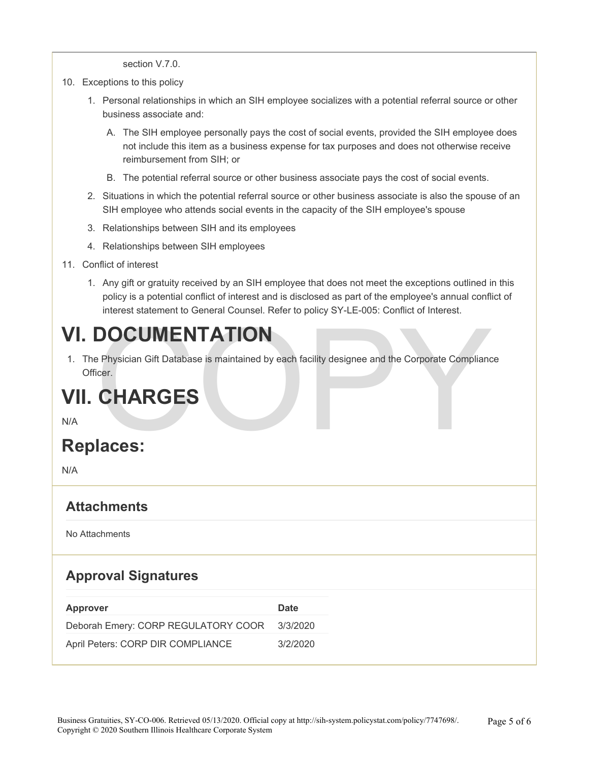section V.7.0.

- 10. Exceptions to this policy
	- 1. Personal relationships in which an SIH employee socializes with a potential referral source or other business associate and:
		- A. The SIH employee personally pays the cost of social events, provided the SIH employee does not include this item as a business expense for tax purposes and does not otherwise receive reimbursement from SIH; or
		- B. The potential referral source or other business associate pays the cost of social events.
	- 2. Situations in which the potential referral source or other business associate is also the spouse of an SIH employee who attends social events in the capacity of the SIH employee's spouse
	- 3. Relationships between SIH and its employees
	- 4. Relationships between SIH employees
- 11. Conflict of interest
	- 1. Any gift or gratuity received by an SIH employee that does not meet the exceptions outlined in this policy is a potential conflict of interest and is disclosed as part of the employee's annual conflict of interest statement to General Counsel. Refer to policy SY-LE-005: Conflict of Interest.

#### **VI. DOCUMENTATION**

DOCUMENTATION<br>
Physician Gift Database is maintained by each facility designee and the Corporate Complianc<br>
CHARGES<br>
laces: 1. The Physician Gift Database is maintained by each facility designee and the Corporate Compliance Officer.

#### **VII. CHARGES**

N/A

#### **Replaces:**

N/A

#### **Attachments**

No Attachments

#### **Approval Signatures**

| Approver                                     | <b>Date</b> |
|----------------------------------------------|-------------|
| Deborah Emery: CORP REGULATORY COOR 3/3/2020 |             |
| April Peters: CORP DIR COMPLIANCE            | 3/2/2020    |